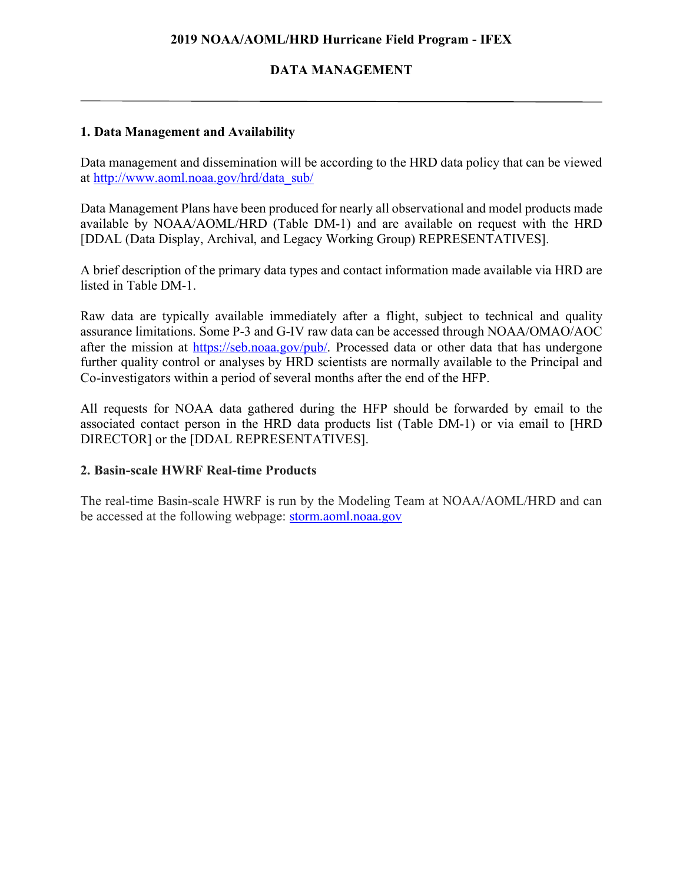### **2019 NOAA/AOML/HRD Hurricane Field Program - IFEX**

## **DATA MANAGEMENT**

### **1. Data Management and Availability**

Data management and dissemination will be according to the HRD data policy that can be viewed at http://www.aoml.noaa.gov/hrd/data\_sub/

Data Management Plans have been produced for nearly all observational and model products made available by NOAA/AOML/HRD (Table DM-1) and are available on request with the HRD [DDAL (Data Display, Archival, and Legacy Working Group) REPRESENTATIVES].

A brief description of the primary data types and contact information made available via HRD are listed in Table DM-1.

Raw data are typically available immediately after a flight, subject to technical and quality assurance limitations. Some P-3 and G-IV raw data can be accessed through NOAA/OMAO/AOC after the mission at https://seb.noaa.gov/pub/. Processed data or other data that has undergone further quality control or analyses by HRD scientists are normally available to the Principal and Co-investigators within a period of several months after the end of the HFP.

All requests for NOAA data gathered during the HFP should be forwarded by email to the associated contact person in the HRD data products list (Table DM-1) or via email to [HRD DIRECTOR] or the [DDAL REPRESENTATIVES].

#### **2. Basin-scale HWRF Real-time Products**

The real-time Basin-scale HWRF is run by the Modeling Team at NOAA/AOML/HRD and can be accessed at the following webpage: storm.aoml.noaa.gov